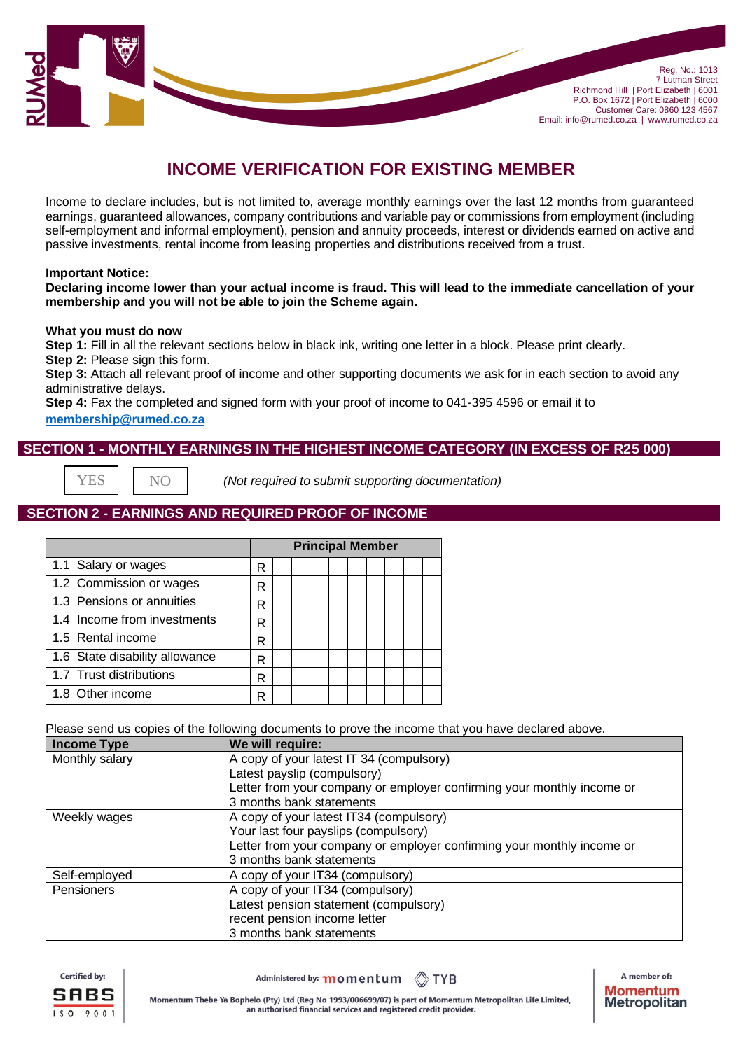

# **INCOME VERIFICATION FOR EXISTING MEMBER**

Income to declare includes, but is not limited to, average monthly earnings over the last 12 months from guaranteed earnings, guaranteed allowances, company contributions and variable pay or commissions from employment (including self-employment and informal employment), pension and annuity proceeds, interest or dividends earned on active and passive investments, rental income from leasing properties and distributions received from a trust.

#### **Important Notice:**

#### **Declaring income lower than your actual income is fraud. This will lead to the immediate cancellation of your membership and you will not be able to join the Scheme again.**

#### **What you must do now**

**Step 1:** Fill in all the relevant sections below in black ink, writing one letter in a block. Please print clearly. **Step 2:** Please sign this form.

**Step 3:** Attach all relevant proof of income and other supporting documents we ask for in each section to avoid any administrative delays.

**Step 4:** Fax the completed and signed form with your proof of income to 041-395 4596 or email it to **[membership@rumed.co.za](mailto:membership@rumed.co.za)**

## **SECTION 1 - MONTHLY EARNINGS IN THE HIGHEST INCOME CATEGORY (IN EXCESS OF R25 000)**

**YES** 

 *(Not required to submit supporting documentation)*

# **SECTION 2 - EARNINGS AND REQUIRED PROOF OF INCOME**

|                                | <b>Principal Member</b> |  |  |  |  |  |  |  |  |
|--------------------------------|-------------------------|--|--|--|--|--|--|--|--|
| 1.1 Salary or wages            | R                       |  |  |  |  |  |  |  |  |
| 1.2 Commission or wages        | R                       |  |  |  |  |  |  |  |  |
| 1.3 Pensions or annuities      | R                       |  |  |  |  |  |  |  |  |
| 1.4 Income from investments    | R                       |  |  |  |  |  |  |  |  |
| 1.5 Rental income              | R                       |  |  |  |  |  |  |  |  |
| 1.6 State disability allowance | R                       |  |  |  |  |  |  |  |  |
| 1.7 Trust distributions        | R                       |  |  |  |  |  |  |  |  |
| 1.8 Other income               | R                       |  |  |  |  |  |  |  |  |

Please send us copies of the following documents to prove the income that you have declared above.

| <b>Income Type</b> | We will require:                                                       |
|--------------------|------------------------------------------------------------------------|
| Monthly salary     | A copy of your latest IT 34 (compulsory)                               |
|                    | Latest payslip (compulsory)                                            |
|                    | Letter from your company or employer confirming your monthly income or |
|                    | 3 months bank statements                                               |
| Weekly wages       | A copy of your latest IT34 (compulsory)                                |
|                    | Your last four payslips (compulsory)                                   |
|                    | Letter from your company or employer confirming your monthly income or |
|                    | 3 months bank statements                                               |
| Self-employed      | A copy of your IT34 (compulsory)                                       |
| Pensioners         | A copy of your IT34 (compulsory)                                       |
|                    | Latest pension statement (compulsory)                                  |
|                    | recent pension income letter                                           |
|                    | 3 months bank statements                                               |



Administered by: momentum **OTYB** 

A member of: **Momentum Metropolitan**